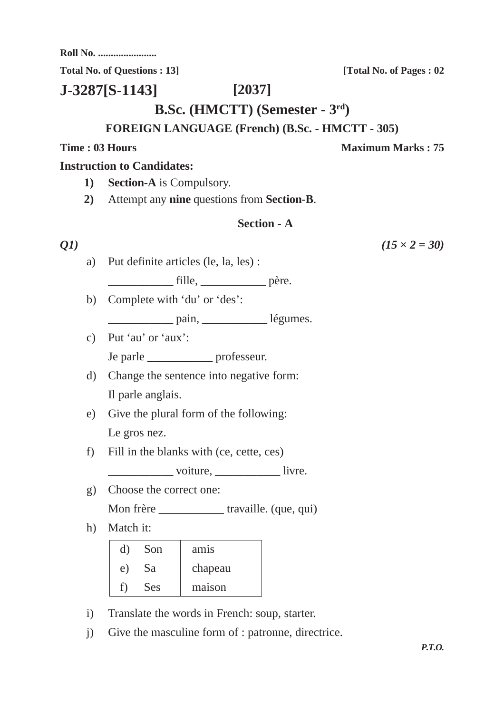**Roll No. .......................**

Total No. of Ouestions : 13] **[Total No. of Pages : 02** 

**[2037] J-3287[S-1143]**

**B.Sc. (HMCTT) (Semester - 3rd)**

## **FOREIGN LANGUAGE (French) (B.Sc. - HMCTT - 305)**

# **Time : 03 Hours Maximum Marks : 75**

### **Instruction to Candidates:**

- **1) Section-A** is Compulsory.
- **2)** Attempt any **nine** questions from **Section-B**.

## **Section - A**

a) Put definite articles (le, la, les) :

tille, père.

- b) Complete with 'du' or 'des':
	- pain, légumes.
- c) Put 'au' or 'aux': Je parle \_\_\_\_\_\_\_\_\_\_\_ professeur.
- d) Change the sentence into negative form: Il parle anglais.
- e) Give the plural form of the following: Le gros nez.
- f) Fill in the blanks with (ce, cette, ces)
	- voiture, livre.
- g) Choose the correct one: Mon frère \_\_\_\_\_\_\_\_\_\_\_\_\_\_\_ travaille. (que, qui)
- h) Match it:

| d) | Son        | am <sub>1</sub> s |
|----|------------|-------------------|
| e) | <b>Sa</b>  | chapeau           |
| t) | <b>Ses</b> | maison            |

- i) Translate the words in French: soup, starter.
- j) Give the masculine form of : patronne, directrice.

*P.T.O.*

*Q1*)  $(15 \times 2 = 30)$